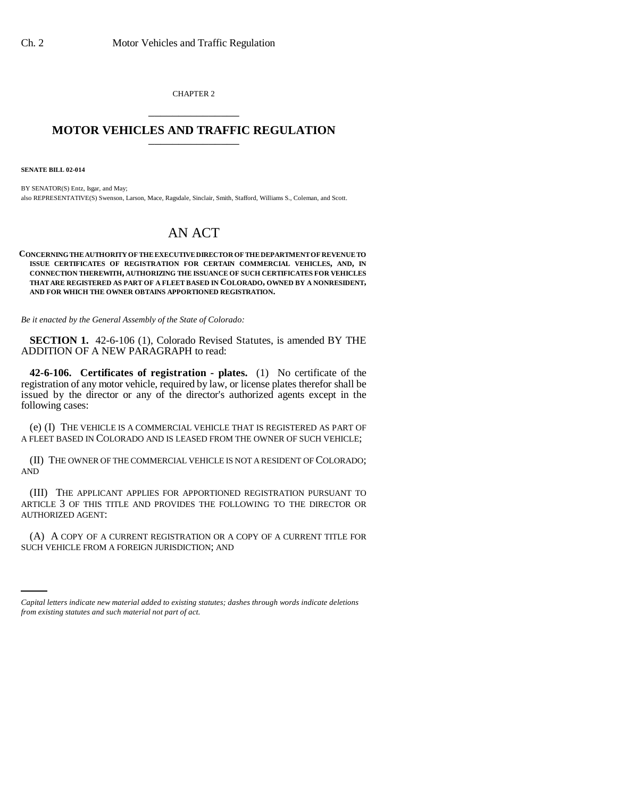CHAPTER 2 \_\_\_\_\_\_\_\_\_\_\_\_\_\_\_

## **MOTOR VEHICLES AND TRAFFIC REGULATION** \_\_\_\_\_\_\_\_\_\_\_\_\_\_\_

**SENATE BILL 02-014**

BY SENATOR(S) Entz, Isgar, and May; also REPRESENTATIVE(S) Swenson, Larson, Mace, Ragsdale, Sinclair, Smith, Stafford, Williams S., Coleman, and Scott.

## AN ACT

## **CONCERNING THE AUTHORITY OF THE EXECUTIVE DIRECTOR OF THE DEPARTMENT OF REVENUE TO ISSUE CERTIFICATES OF REGISTRATION FOR CERTAIN COMMERCIAL VEHICLES, AND, IN CONNECTION THEREWITH, AUTHORIZING THE ISSUANCE OF SUCH CERTIFICATES FOR VEHICLES THAT ARE REGISTERED AS PART OF A FLEET BASED IN COLORADO, OWNED BY A NONRESIDENT, AND FOR WHICH THE OWNER OBTAINS APPORTIONED REGISTRATION.**

*Be it enacted by the General Assembly of the State of Colorado:*

**SECTION 1.** 42-6-106 (1), Colorado Revised Statutes, is amended BY THE ADDITION OF A NEW PARAGRAPH to read:

**42-6-106. Certificates of registration - plates.** (1) No certificate of the registration of any motor vehicle, required by law, or license plates therefor shall be issued by the director or any of the director's authorized agents except in the following cases:

(e) (I) THE VEHICLE IS A COMMERCIAL VEHICLE THAT IS REGISTERED AS PART OF A FLEET BASED IN COLORADO AND IS LEASED FROM THE OWNER OF SUCH VEHICLE;

(II) THE OWNER OF THE COMMERCIAL VEHICLE IS NOT A RESIDENT OF COLORADO; AND

(III) THE APPLICANT APPLIES FOR APPORTIONED REGISTRATION PURSUANT TO ARTICLE 3 OF THIS TITLE AND PROVIDES THE FOLLOWING TO THE DIRECTOR OR AUTHORIZED AGENT:

(A) A COPY OF A CURRENT REGISTRATION OR A COPY OF A CURRENT TITLE FOR SUCH VEHICLE FROM A FOREIGN JURISDICTION; AND

*Capital letters indicate new material added to existing statutes; dashes through words indicate deletions from existing statutes and such material not part of act.*